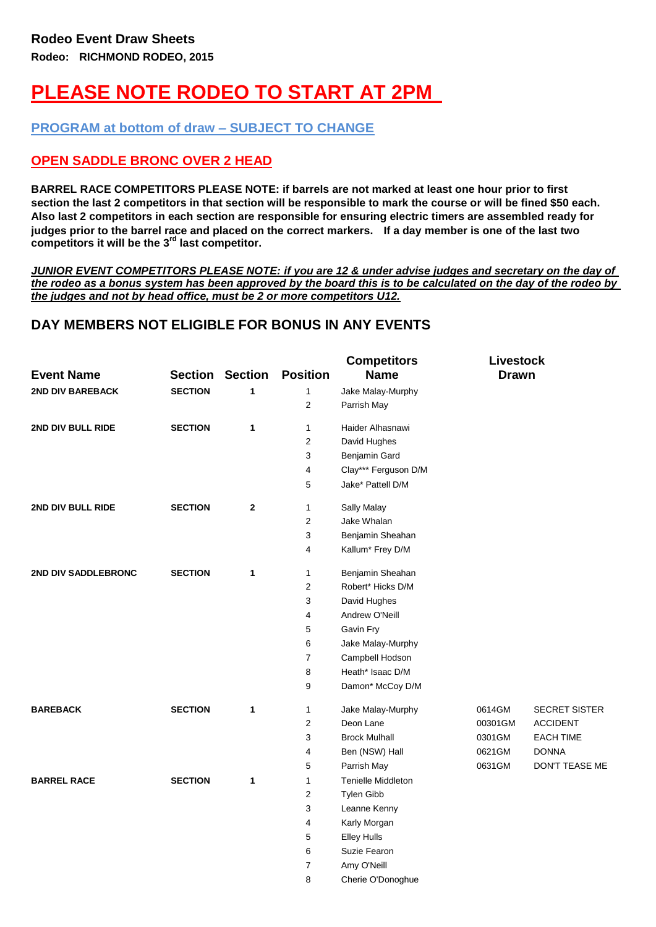## **PLEASE NOTE RODEO TO START AT 2PM**

**PROGRAM at bottom of draw – SUBJECT TO CHANGE**

## **OPEN SADDLE BRONC OVER 2 HEAD**

**BARREL RACE COMPETITORS PLEASE NOTE: if barrels are not marked at least one hour prior to first section the last 2 competitors in that section will be responsible to mark the course or will be fined \$50 each. Also last 2 competitors in each section are responsible for ensuring electric timers are assembled ready for judges prior to the barrel race and placed on the correct markers. If a day member is one of the last two competitors it will be the 3rd last competitor.**

*JUNIOR EVENT COMPETITORS PLEASE NOTE: if you are 12 & under advise judges and secretary on the day of the rodeo as a bonus system has been approved by the board this is to be calculated on the day of the rodeo by the judges and not by head office, must be 2 or more competitors U12.*

**Competitors Livestock** 

## **DAY MEMBERS NOT ELIGIBLE FOR BONUS IN ANY EVENTS**

| <b>Event Name</b>       | <b>Section</b> | <b>Section</b> | <b>Position</b> | Competitors<br><b>Name</b>       | <b>LIVESTOCK</b><br><b>Drawn</b> |                      |
|-------------------------|----------------|----------------|-----------------|----------------------------------|----------------------------------|----------------------|
|                         |                |                |                 |                                  |                                  |                      |
| <b>2ND DIV BAREBACK</b> | <b>SECTION</b> | 1              | 1<br>2          | Jake Malay-Murphy<br>Parrish May |                                  |                      |
| 2ND DIV BULL RIDE       | <b>SECTION</b> | 1              | $\mathbf{1}$    | Haider Alhasnawi                 |                                  |                      |
|                         |                |                | 2               | David Hughes                     |                                  |                      |
|                         |                |                | 3               | Benjamin Gard                    |                                  |                      |
|                         |                |                | 4               | Clay*** Ferguson D/M             |                                  |                      |
|                         |                |                | 5               | Jake* Pattell D/M                |                                  |                      |
| 2ND DIV BULL RIDE       | <b>SECTION</b> | $\mathbf{2}$   | 1               | Sally Malay                      |                                  |                      |
|                         |                |                | 2               | Jake Whalan                      |                                  |                      |
|                         |                |                | 3               | Benjamin Sheahan                 |                                  |                      |
|                         |                |                | 4               | Kallum* Frey D/M                 |                                  |                      |
| 2ND DIV SADDLEBRONC     | <b>SECTION</b> | 1              | $\mathbf{1}$    | Benjamin Sheahan                 |                                  |                      |
|                         |                |                | 2               | Robert* Hicks D/M                |                                  |                      |
|                         |                |                | 3               | David Hughes                     |                                  |                      |
|                         |                |                | 4               | Andrew O'Neill                   |                                  |                      |
|                         |                |                | 5               | Gavin Fry                        |                                  |                      |
|                         |                |                | 6               | Jake Malay-Murphy                |                                  |                      |
|                         |                |                | 7               | Campbell Hodson                  |                                  |                      |
|                         |                |                | 8               | Heath* Isaac D/M                 |                                  |                      |
|                         |                |                | 9               | Damon* McCoy D/M                 |                                  |                      |
| <b>BAREBACK</b>         | <b>SECTION</b> | $\mathbf{1}$   | $\mathbf{1}$    | Jake Malay-Murphy                | 0614GM                           | <b>SECRET SISTER</b> |
|                         |                |                | 2               | Deon Lane                        | 00301GM                          | <b>ACCIDENT</b>      |
|                         |                |                | 3               | <b>Brock Mulhall</b>             | 0301GM                           | <b>EACH TIME</b>     |
|                         |                |                | 4               | Ben (NSW) Hall                   | 0621GM                           | <b>DONNA</b>         |
|                         |                |                | 5               | Parrish May                      | 0631GM                           | DON'T TEASE ME       |
| <b>BARREL RACE</b>      | <b>SECTION</b> | $\mathbf{1}$   | 1               | <b>Tenielle Middleton</b>        |                                  |                      |
|                         |                |                | 2               | Tylen Gibb                       |                                  |                      |
|                         |                |                | 3               | Leanne Kenny                     |                                  |                      |
|                         |                |                | 4               | Karly Morgan                     |                                  |                      |
|                         |                |                | 5               | <b>Elley Hulls</b>               |                                  |                      |
|                         |                |                | 6               | Suzie Fearon                     |                                  |                      |
|                         |                |                | 7               | Amy O'Neill                      |                                  |                      |
|                         |                |                | 8               | Cherie O'Donoghue                |                                  |                      |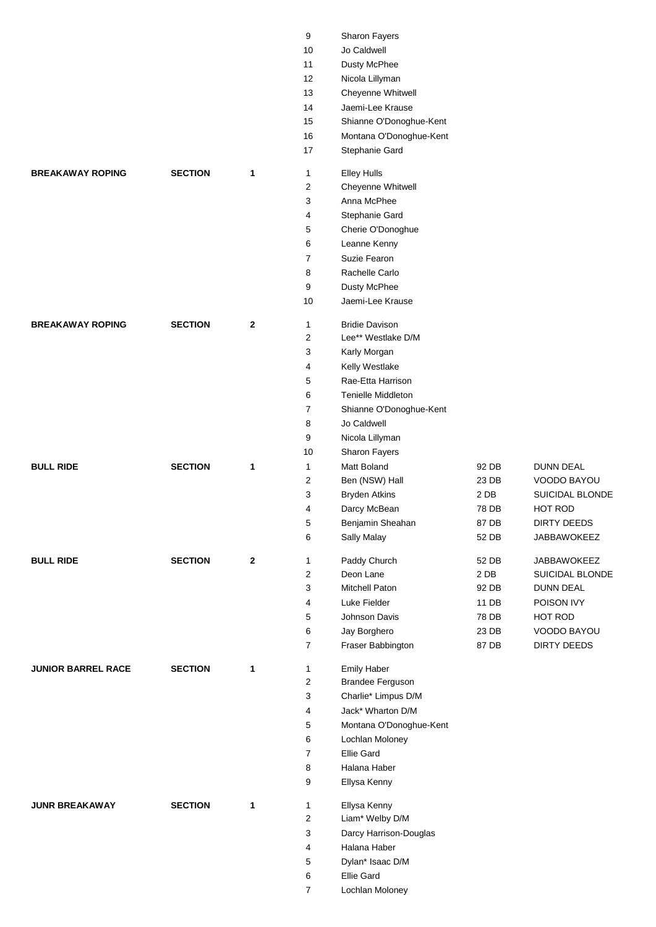|                           |                |              | 9                | Sharon Fayers                          |                 |                    |
|---------------------------|----------------|--------------|------------------|----------------------------------------|-----------------|--------------------|
|                           |                |              | 10               | Jo Caldwell                            |                 |                    |
|                           |                |              | 11               | Dusty McPhee                           |                 |                    |
|                           |                |              | 12               | Nicola Lillyman                        |                 |                    |
|                           |                |              | 13               | Cheyenne Whitwell                      |                 |                    |
|                           |                |              | 14               | Jaemi-Lee Krause                       |                 |                    |
|                           |                |              | 15               | Shianne O'Donoghue-Kent                |                 |                    |
|                           |                |              | 16               | Montana O'Donoghue-Kent                |                 |                    |
|                           |                |              | 17               | Stephanie Gard                         |                 |                    |
| <b>BREAKAWAY ROPING</b>   | <b>SECTION</b> | 1            | 1                | <b>Elley Hulls</b>                     |                 |                    |
|                           |                |              | 2                | Cheyenne Whitwell                      |                 |                    |
|                           |                |              | 3                | Anna McPhee                            |                 |                    |
|                           |                |              | 4                | Stephanie Gard                         |                 |                    |
|                           |                |              | 5                | Cherie O'Donoghue                      |                 |                    |
|                           |                |              | 6                | Leanne Kenny                           |                 |                    |
|                           |                |              | $\overline{7}$   | Suzie Fearon                           |                 |                    |
|                           |                |              | 8                | Rachelle Carlo                         |                 |                    |
|                           |                |              | 9                | Dusty McPhee                           |                 |                    |
|                           |                |              | 10               | Jaemi-Lee Krause                       |                 |                    |
| <b>BREAKAWAY ROPING</b>   | <b>SECTION</b> | $\mathbf{2}$ | $\mathbf{1}$     | <b>Bridie Davison</b>                  |                 |                    |
|                           |                |              | 2                | Lee** Westlake D/M                     |                 |                    |
|                           |                |              | 3                | Karly Morgan                           |                 |                    |
|                           |                |              | 4                | Kelly Westlake                         |                 |                    |
|                           |                |              | 5                | Rae-Etta Harrison                      |                 |                    |
|                           |                |              | 6                | <b>Tenielle Middleton</b>              |                 |                    |
|                           |                |              | $\overline{7}$   | Shianne O'Donoghue-Kent                |                 |                    |
|                           |                |              | 8                | Jo Caldwell                            |                 |                    |
|                           |                |              | 9                | Nicola Lillyman                        |                 |                    |
|                           |                |              | 10               | Sharon Fayers                          |                 |                    |
| <b>BULL RIDE</b>          | <b>SECTION</b> | 1            | 1                | <b>Matt Boland</b>                     | 92 DB           | <b>DUNN DEAL</b>   |
|                           |                |              | 2                | Ben (NSW) Hall                         | 23 DB           | VOODO BAYOU        |
|                           |                |              | 3                | <b>Bryden Atkins</b>                   | 2 DB            | SUICIDAL BLONDE    |
|                           |                |              | 4                | Darcy McBean                           | 78 DB           | HOT ROD            |
|                           |                |              | 5                | Benjamin Sheahan                       | 87 DB           | <b>DIRTY DEEDS</b> |
|                           |                |              | 6                | Sally Malay                            | 52 DB           | JABBAWOKEEZ        |
| <b>BULL RIDE</b>          | <b>SECTION</b> | $\mathbf{2}$ | 1                | Paddy Church                           | 52 DB           | JABBAWOKEEZ        |
|                           |                |              | $\overline{c}$   | Deon Lane                              | 2 <sub>DB</sub> | SUICIDAL BLONDE    |
|                           |                |              | 3                | Mitchell Paton                         | 92 DB           | <b>DUNN DEAL</b>   |
|                           |                |              | 4                | Luke Fielder                           | 11 DB           | POISON IVY         |
|                           |                |              | 5                | Johnson Davis                          | 78 DB           | HOT ROD            |
|                           |                |              | 6                | Jay Borghero                           | 23 DB           | VOODO BAYOU        |
|                           |                |              | 7                | Fraser Babbington                      | 87 DB           | <b>DIRTY DEEDS</b> |
|                           |                |              |                  |                                        |                 |                    |
| <b>JUNIOR BARREL RACE</b> | <b>SECTION</b> | 1            | 1<br>$\mathbf 2$ | Emily Haber<br><b>Brandee Ferguson</b> |                 |                    |
|                           |                |              | 3                | Charlie* Limpus D/M                    |                 |                    |
|                           |                |              | 4                | Jack* Wharton D/M                      |                 |                    |
|                           |                |              | 5                | Montana O'Donoghue-Kent                |                 |                    |
|                           |                |              | 6                | Lochlan Moloney                        |                 |                    |
|                           |                |              | 7                | Ellie Gard                             |                 |                    |
|                           |                |              | 8                | Halana Haber                           |                 |                    |
|                           |                |              | 9                | Ellysa Kenny                           |                 |                    |
|                           |                |              |                  |                                        |                 |                    |
| <b>JUNR BREAKAWAY</b>     | <b>SECTION</b> | 1            | 1                | Ellysa Kenny                           |                 |                    |
|                           |                |              | $\sqrt{2}$       | Liam* Welby D/M                        |                 |                    |
|                           |                |              | 3                | Darcy Harrison-Douglas                 |                 |                    |
|                           |                |              | 4                | Halana Haber                           |                 |                    |
|                           |                |              | 5                | Dylan* Isaac D/M                       |                 |                    |
|                           |                |              | 6                | Ellie Gard                             |                 |                    |
|                           |                |              | 7                | Lochlan Moloney                        |                 |                    |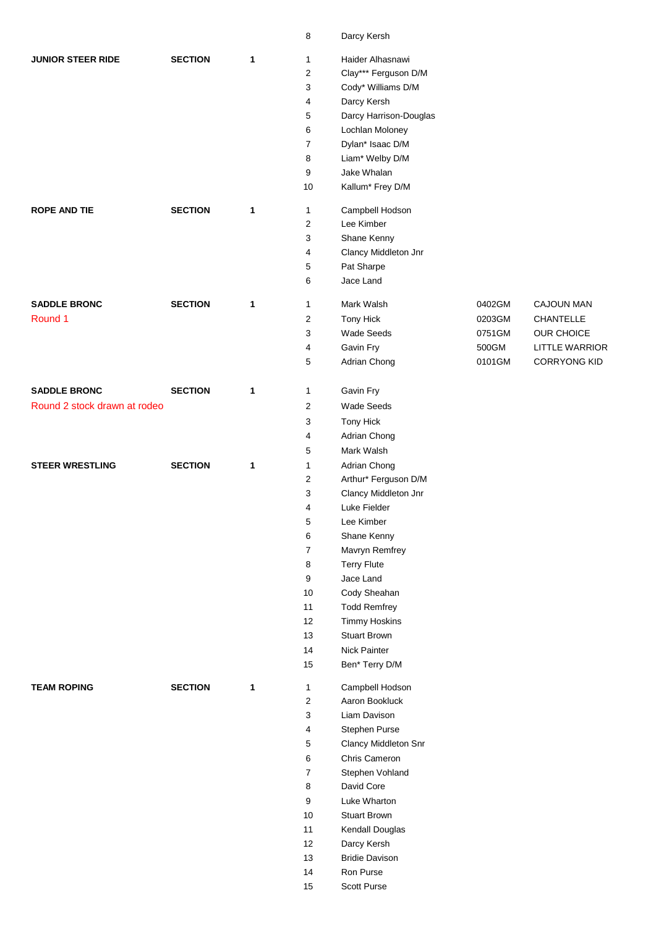|                              |                |   | 8                       | Darcy Kersh            |        |                       |
|------------------------------|----------------|---|-------------------------|------------------------|--------|-----------------------|
| <b>JUNIOR STEER RIDE</b>     | <b>SECTION</b> | 1 | 1                       | Haider Alhasnawi       |        |                       |
|                              |                |   | $\overline{\mathbf{c}}$ | Clay*** Ferguson D/M   |        |                       |
|                              |                |   | 3                       | Cody* Williams D/M     |        |                       |
|                              |                |   | 4                       | Darcy Kersh            |        |                       |
|                              |                |   | 5                       | Darcy Harrison-Douglas |        |                       |
|                              |                |   | 6                       | Lochlan Moloney        |        |                       |
|                              |                |   | $\overline{7}$          | Dylan* Isaac D/M       |        |                       |
|                              |                |   | 8                       | Liam* Welby D/M        |        |                       |
|                              |                |   | 9                       | Jake Whalan            |        |                       |
|                              |                |   | 10                      | Kallum* Frey D/M       |        |                       |
| <b>ROPE AND TIE</b>          | <b>SECTION</b> | 1 | $\mathbf{1}$            | Campbell Hodson        |        |                       |
|                              |                |   | 2                       | Lee Kimber             |        |                       |
|                              |                |   | 3                       | Shane Kenny            |        |                       |
|                              |                |   | 4                       | Clancy Middleton Jnr   |        |                       |
|                              |                |   | $\mathbf 5$             | Pat Sharpe             |        |                       |
|                              |                |   | 6                       | Jace Land              |        |                       |
| <b>SADDLE BRONC</b>          | <b>SECTION</b> | 1 | 1                       | Mark Walsh             | 0402GM | CAJOUN MAN            |
| Round 1                      |                |   | 2                       | Tony Hick              | 0203GM | CHANTELLE             |
|                              |                |   | 3                       | <b>Wade Seeds</b>      | 0751GM | <b>OUR CHOICE</b>     |
|                              |                |   | 4                       | Gavin Fry              | 500GM  | <b>LITTLE WARRIOR</b> |
|                              |                |   | 5                       | Adrian Chong           | 0101GM | <b>CORRYONG KID</b>   |
| <b>SADDLE BRONC</b>          | <b>SECTION</b> | 1 | $\mathbf{1}$            | Gavin Fry              |        |                       |
| Round 2 stock drawn at rodeo |                |   | 2                       | Wade Seeds             |        |                       |
|                              |                |   | 3                       | Tony Hick              |        |                       |
|                              |                |   | 4                       | Adrian Chong           |        |                       |
|                              |                |   | 5                       | Mark Walsh             |        |                       |
| <b>STEER WRESTLING</b>       | <b>SECTION</b> | 1 | 1                       | Adrian Chong           |        |                       |
|                              |                |   | $\overline{\mathbf{c}}$ | Arthur* Ferguson D/M   |        |                       |
|                              |                |   | 3                       | Clancy Middleton Jnr   |        |                       |
|                              |                |   | 4                       | Luke Fielder           |        |                       |
|                              |                |   | 5                       | Lee Kimber             |        |                       |
|                              |                |   | 6                       | Shane Kenny            |        |                       |
|                              |                |   | $\overline{7}$          | Mavryn Remfrey         |        |                       |
|                              |                |   | 8                       | <b>Terry Flute</b>     |        |                       |
|                              |                |   | 9                       | Jace Land              |        |                       |
|                              |                |   | 10                      | Cody Sheahan           |        |                       |
|                              |                |   | $11$                    | <b>Todd Remfrey</b>    |        |                       |
|                              |                |   | 12                      | <b>Timmy Hoskins</b>   |        |                       |
|                              |                |   | 13                      | <b>Stuart Brown</b>    |        |                       |
|                              |                |   | 14                      | Nick Painter           |        |                       |
|                              |                |   | 15                      | Ben* Terry D/M         |        |                       |
| <b>TEAM ROPING</b>           | <b>SECTION</b> | 1 | $\mathbf{1}$            | Campbell Hodson        |        |                       |
|                              |                |   | $\overline{\mathbf{c}}$ | Aaron Bookluck         |        |                       |
|                              |                |   | 3                       | Liam Davison           |        |                       |
|                              |                |   | 4                       | Stephen Purse          |        |                       |
|                              |                |   | 5                       | Clancy Middleton Snr   |        |                       |
|                              |                |   | 6                       | Chris Cameron          |        |                       |
|                              |                |   | $\boldsymbol{7}$        | Stephen Vohland        |        |                       |
|                              |                |   | 8                       | David Core             |        |                       |
|                              |                |   | 9                       | Luke Wharton           |        |                       |
|                              |                |   | $10\,$                  | <b>Stuart Brown</b>    |        |                       |
|                              |                |   | $11$                    | Kendall Douglas        |        |                       |
|                              |                |   | 12                      | Darcy Kersh            |        |                       |
|                              |                |   | 13                      | <b>Bridie Davison</b>  |        |                       |
|                              |                |   | 14                      | Ron Purse              |        |                       |
|                              |                |   | 15                      | Scott Purse            |        |                       |